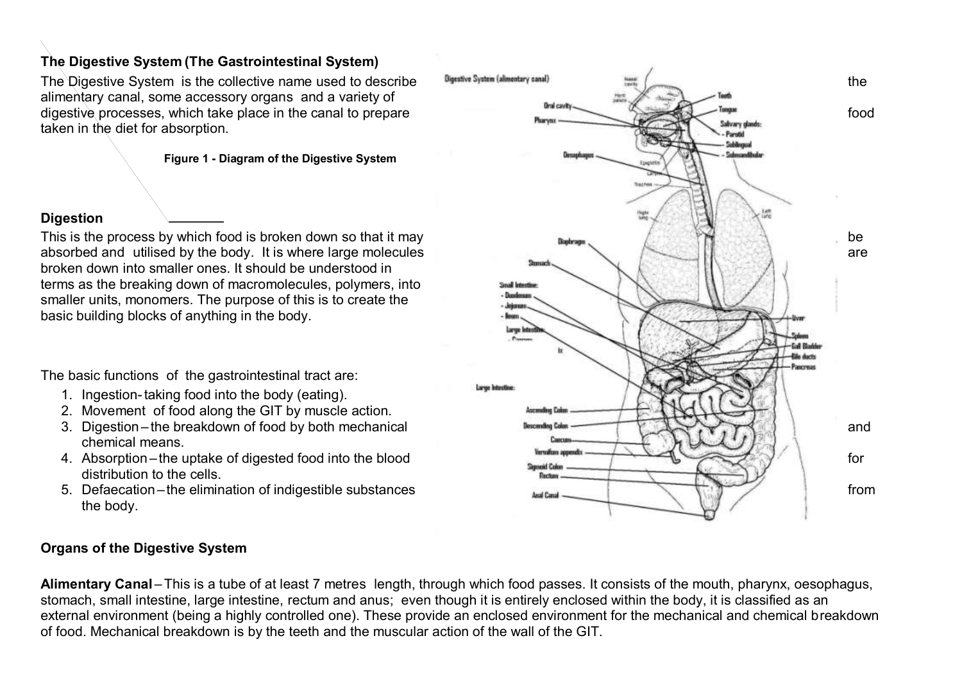### **The Digestive System (The Gastrointestinal System)**

alimentary canal, some accessory organs and a variety of taken in the diet for absorption.

#### **Figure 1 - Diagram of the Digestive System**

### **Digestion**

broken down into smaller ones. It should be understood in terms as the breaking down of macromolecules, polymers, into smaller units, monomers. The purpose of this is to create the basic building blocks of anything in the body.

The basic functions of the gastrointestinal tract are:

- 1. Ingestion-taking food into the body (eating).
- 2. Movement of food along the GIT by muscle action.
- chemical means.
- distribution to the cells.
- the body.

### **Organs of the Digestive System**

Alimentary Canal – This is a tube of at least 7 metres length, through which food passes. It consists of the mouth, pharynx, oesophagus, stomach, small intestine, large intestine, rectum and anus; even though it is entirely enclosed within the body, it is classified as an external environment (being a highly controlled one). These provide an enclosed environment for the mechanical and chemical breakdown of food. Mechanical breakdown is by the teeth and the muscular action of the wall of the GIT.

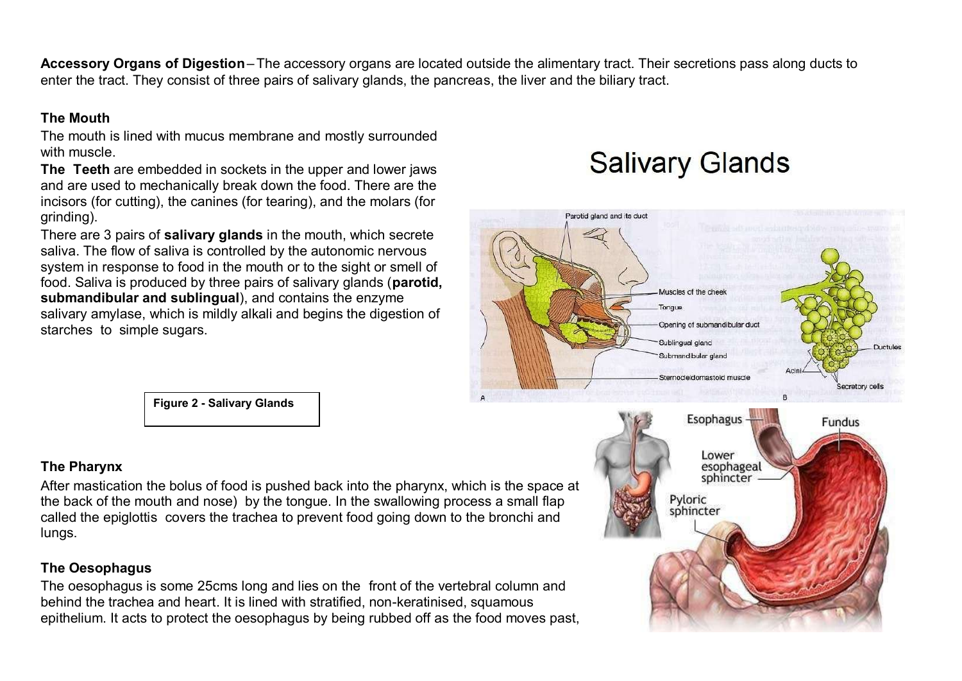**Accessory Organs of Digestion**–The accessory organs are located outside the alimentary tract. Their secretions pass along ducts to enter the tract. They consist of three pairs of salivary glands, the pancreas, the liver and the biliary tract.

### **The Mouth**

The mouth is lined with mucus membrane and mostly surrounded with muscle.

**The Teeth** are embedded in sockets in the upper and lower jaws and are used to mechanically break down the food. There are the incisors (for cutting), the canines (for tearing), and the molars (for grinding).

There are 3 pairs of **salivary glands** in the mouth, which secrete saliva. The flow of saliva is controlled by the autonomic nervous system in response to food in the mouth or to the sight or smell of food. Saliva is produced by three pairs of salivary glands (**parotid, submandibular and sublingual**), and contains the enzyme salivary amylase, which is mildly alkali and begins the digestion of starches to simple sugars.





**Figure 2 - Salivary Glands**

### **The Pharynx**

After mastication the bolus of food is pushed back into the pharynx, which is the space at the back of the mouth and nose) by the tongue. In the swallowing process a small flap called the epiglottis covers the trachea to prevent food going down to the bronchi and lungs.

### **The Oesophagus**

The oesophagus is some 25cms long and lies on the front of the vertebral column and behind the trachea and heart. It is lined with stratified, non-keratinised, squamous epithelium. It acts to protect the oesophagus by being rubbed off as the food moves past,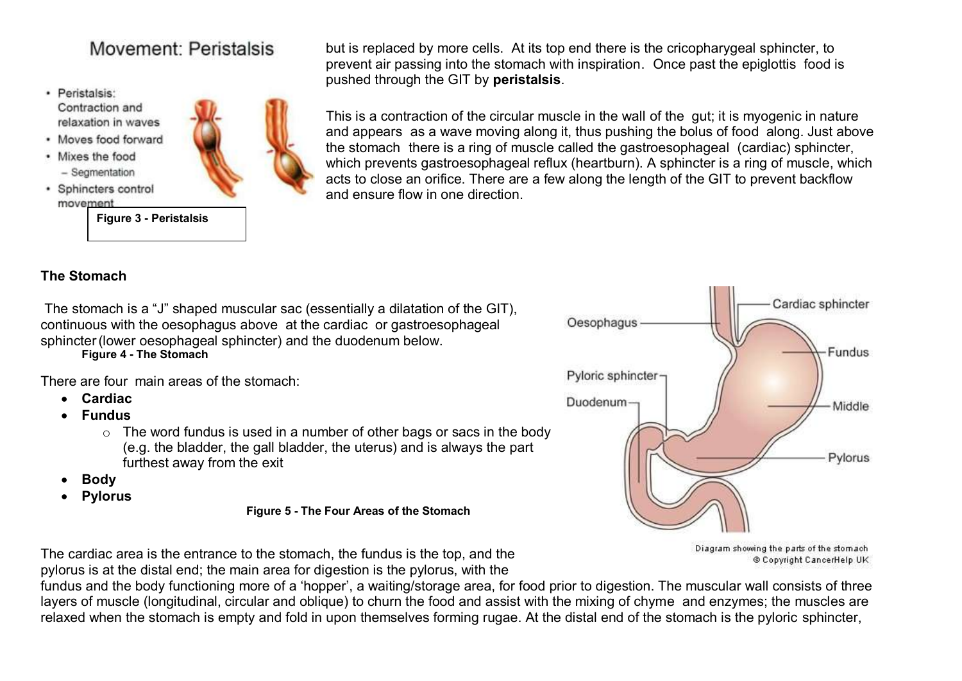## Movement: Peristalsis

- · Peristalsis: Contraction and relaxation in waves
- · Moves food forward
- Mixes the food - Segmentation
- · Sphincters control movement

**Figure 3 - Peristalsis**



but is replaced by more cells. At its top end there is the cricopharygeal sphincter, to prevent air passing into the stomach with inspiration. Once past the epiglottis food is pushed through the GIT by **peristalsis**.

This is a contraction of the circular muscle in the wall of the gut; it is myogenic in nature and appears as a wave moving along it, thus pushing the bolus of food along. Just above the stomach there is a ring of muscle called the gastroesophageal (cardiac) sphincter, which prevents gastroesophageal reflux (heartburn). A sphincter is a ring of muscle, which acts to close an orifice. There are a few along the length of the GIT to prevent backflow and ensure flow in one direction.

### **The Stomach**

The stomach is a "J" shaped muscular sac (essentially a dilatation of the GIT), continuous with the oesophagus above at the cardiac or gastroesophageal sphincter (lower oesophageal sphincter) and the duodenum below.

**Figure 4 - The Stomach**

There are four main areas of the stomach:

- **Cardiac**
- **Fundus**
	- $\circ$  The word fundus is used in a number of other bags or sacs in the body (e.g. the bladder, the gall bladder, the uterus) and is always the part furthest away from the exit
- **Body**
- **Pylorus**

**Figure 5 - The Four Areas of the Stomach**



Diagram showing the parts of the stomach @ Copyright CancerHelp UK

The cardiac area is the entrance to the stomach, the fundus is the top, and the

pylorus is at the distal end; the main area for digestion is the pylorus, with the

fundus and the body functioning more of a 'hopper', a waiting/storage area, for food prior to digestion. The muscular wall consists of three layers of muscle (longitudinal, circular and oblique) to churn the food and assist with the mixing of chyme and enzymes; the muscles are relaxed when the stomach is empty and fold in upon themselves forming rugae. At the distal end of the stomach is the pyloric sphincter,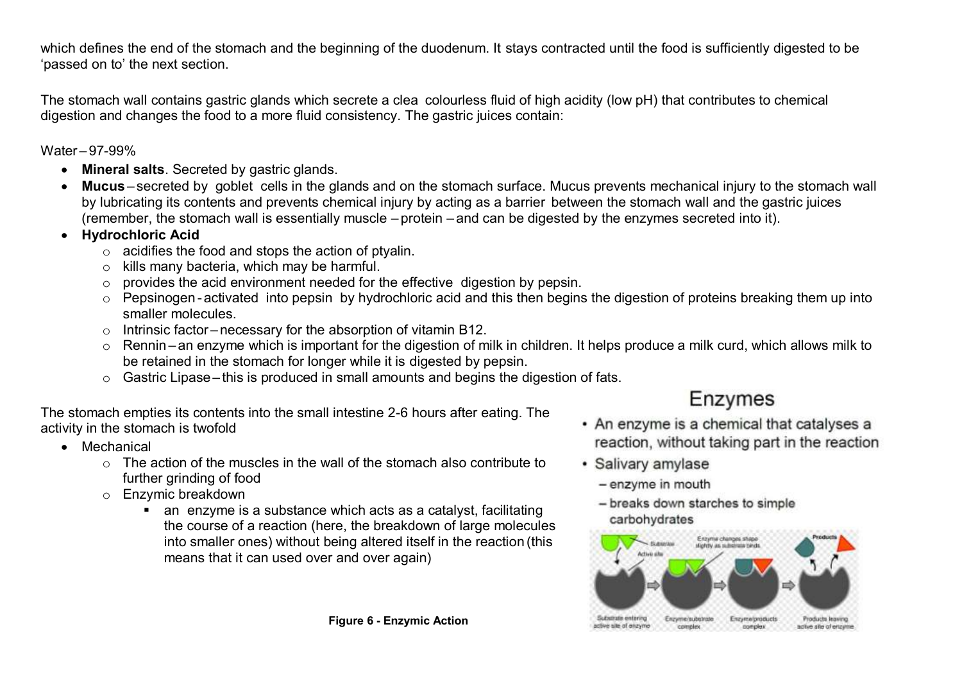which defines the end of the stomach and the beginning of the duodenum. It stays contracted until the food is sufficiently digested to be 'passed on to' the next section.

The stomach wall contains gastric glands which secrete a clea colourless fluid of high acidity (low pH) that contributes to chemical digestion and changes the food to a more fluid consistency. The gastric juices contain:

Water – 97-99%

- **Mineral salts**. Secreted by gastric glands.
- **Mucus** secreted by goblet cells in the glands and on the stomach surface. Mucus prevents mechanical injury to the stomach wall by lubricating its contents and prevents chemical injury by acting as a barrier between the stomach wall and the gastric juices (remember, the stomach wall is essentially muscle – protein – and can be digested by the enzymes secreted into it).
- **Hydrochloric Acid**
	- $\circ$  acidifies the food and stops the action of ptyalin.
	- o kills many bacteria, which may be harmful.
	- o provides the acid environment needed for the effective digestion by pepsin.
	- o Pepsinogen -activated into pepsin by hydrochloric acid and this then begins the digestion of proteins breaking them up into smaller molecules.
	- $\circ$  Intrinsic factor necessary for the absorption of vitamin B12.
	- o Rennin an enzyme which is important for the digestion of milk in children. It helps produce a milk curd, which allows milk to be retained in the stomach for longer while it is digested by pepsin.
	- $\circ$  Gastric Lipase this is produced in small amounts and begins the digestion of fats.

The stomach empties its contents into the small intestine 2-6 hours after eating. The activity in the stomach is twofold

- Mechanical
	- $\circ$  The action of the muscles in the wall of the stomach also contribute to further grinding of food
	- o Enzymic breakdown
		- an enzyme is a substance which acts as a catalyst, facilitating the course of a reaction (here, the breakdown of large molecules into smaller ones) without being altered itself in the reaction (this means that it can used over and over again)

# Enzymes

- An enzyme is a chemical that catalyses a reaction, without taking part in the reaction
- · Salivary amylase
	- enzyme in mouth
	- breaks down starches to simple carbohydrates

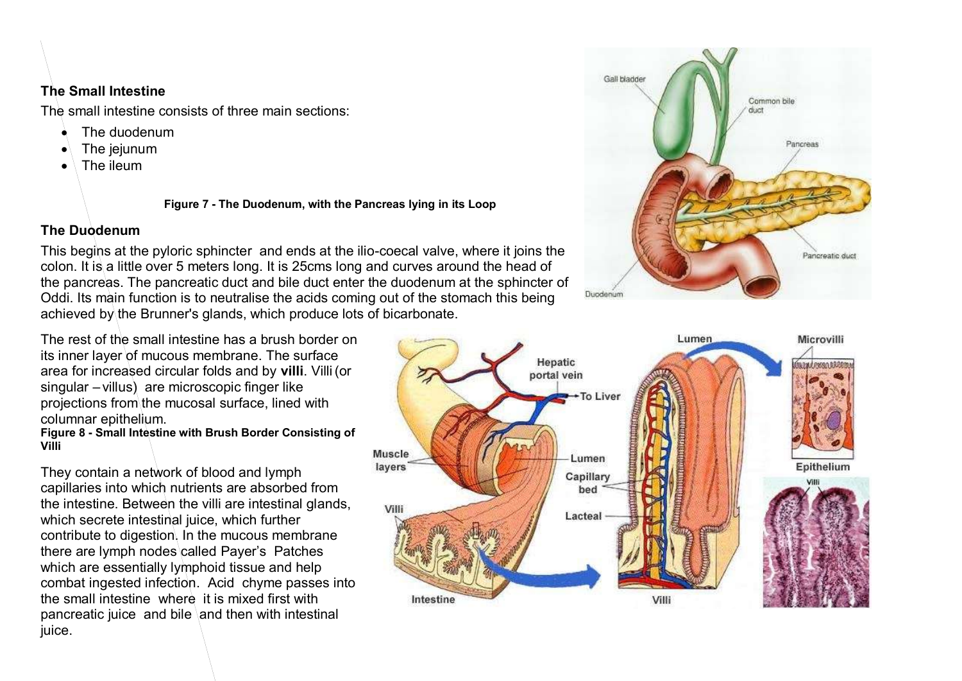### **The Small Intestine**

The small intestine consists of three main sections:

- The duodenum
- The jejunum
- The ileum

**Figure 7 - The Duodenum, with the Pancreas lying in its Loop**

### **The Duodenum**

This begins at the pyloric sphincter and ends at the ilio-coecal valve, where it joins the colon. It is a little over 5 meters long. It is 25cms long and curves around the head of the pancreas. The pancreatic duct and bile duct enter the duodenum at the sphincter of Oddi. Its main function is to neutralise the acids coming out of the stomach this being achieved by the Brunner's glands, which produce lots of bicarbonate.

The rest of the small intestine has a brush border on its inner layer of mucous membrane. The surface area for increased circular folds and by **villi**. Villi(or singular – villus) are microscopic finger like projections from the mucosal surface, lined with columnar epithelium.

**Figure 8 - Small Intestine with Brush Border Consisting of Villi**

They contain a network of blood and lymph capillaries into which nutrients are absorbed from the intestine. Between the villi are intestinal glands, which secrete intestinal juice, which further contribute to digestion. In the mucous membrane there are lymph nodes called Payer's Patches which are essentially lymphoid tissue and help combat ingested infection. Acid chyme passes into the small intestine where it is mixed first with pancreatic juice and bile and then with intestinal juice.



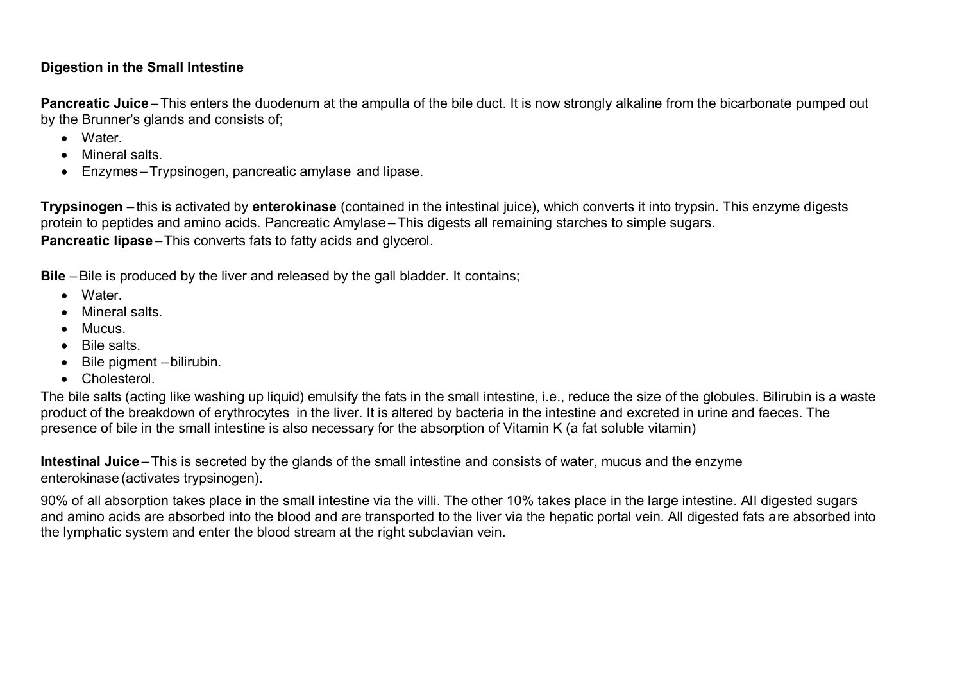### **Digestion in the Small Intestine**

Pancreatic Juice – This enters the duodenum at the ampulla of the bile duct. It is now strongly alkaline from the bicarbonate pumped out by the Brunner's glands and consists of;

- Water
- Mineral salts.
- Enzymes –Trypsinogen, pancreatic amylase and lipase.

**Trypsinogen** – this is activated by **enterokinase** (contained in the intestinal juice), which converts it into trypsin. This enzyme digests protein to peptides and amino acids. Pancreatic Amylase –This digests all remaining starches to simple sugars. **Pancreatic lipase** – This converts fats to fatty acids and glycerol.

**Bile** – Bile is produced by the liver and released by the gall bladder. It contains;

- Water.
- Mineral salts.
- Mucus
- Bile salts
- $\bullet$  Bile pigment bilirubin.
- **•** Cholesterol

The bile salts (acting like washing up liquid) emulsify the fats in the small intestine, i.e., reduce the size of the globules. Bilirubin is a waste product of the breakdown of erythrocytes in the liver. It is altered by bacteria in the intestine and excreted in urine and faeces. The presence of bile in the small intestine is also necessary for the absorption of Vitamin K (a fat soluble vitamin)

**Intestinal Juice** –This is secreted by the glands of the small intestine and consists of water, mucus and the enzyme enterokinase (activates trypsinogen).

90% of all absorption takes place in the small intestine via the villi. The other 10% takes place in the large intestine. All digested sugars and amino acids are absorbed into the blood and are transported to the liver via the hepatic portal vein. All digested fats are absorbed into the lymphatic system and enter the blood stream at the right subclavian vein.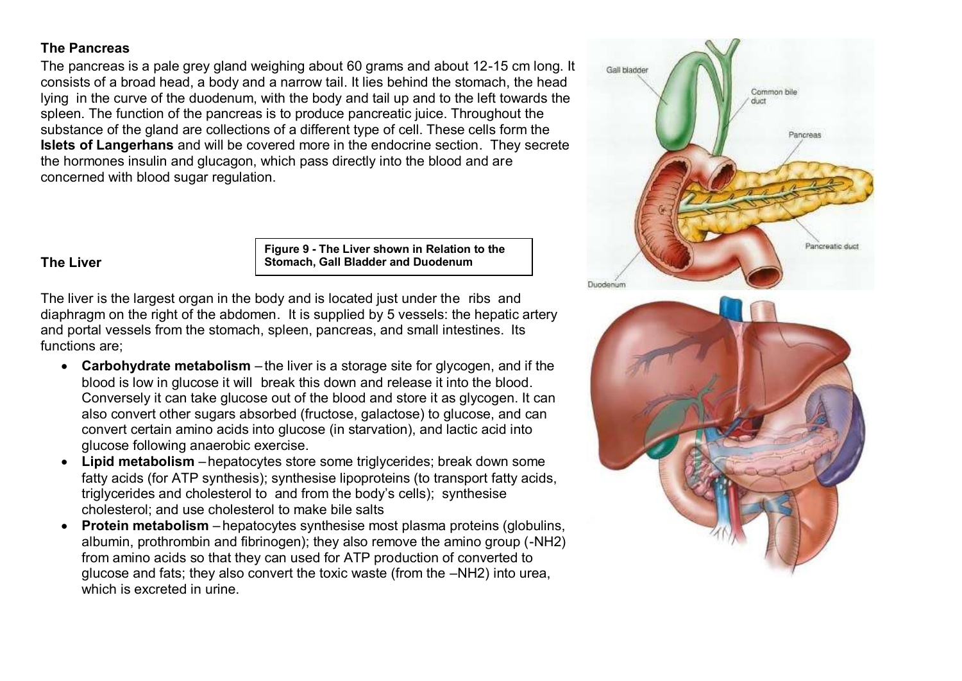### **The Pancreas**

The pancreas is a pale grey gland weighing about 60 grams and about 12-15 cm long. It consists of a broad head, a body and a narrow tail. It lies behind the stomach, the head lying in the curve of the duodenum, with the body and tail up and to the left towards the spleen. The function of the pancreas is to produce pancreatic juice. Throughout the substance of the gland are collections of a different type of cell. These cells form the **Islets of Langerhans** and will be covered more in the endocrine section. They secrete the hormones insulin and glucagon, which pass directly into the blood and are concerned with blood sugar regulation.

#### **The Liver**

**Figure 9 - The Liver shown in Relation to the Stomach, Gall Bladder and Duodenum**

The liver is the largest organ in the body and is located just under the ribs and diaphragm on the right of the abdomen. It is supplied by 5 vessels: the hepatic artery and portal vessels from the stomach, spleen, pancreas, and small intestines. Its functions are;

- **Carbohydrate metabolism** the liver is a storage site for glycogen, and if the blood is low in glucose it will break this down and release it into the blood. Conversely it can take glucose out of the blood and store it as glycogen. It can also convert other sugars absorbed (fructose, galactose) to glucose, and can convert certain amino acids into glucose (in starvation), and lactic acid into glucose following anaerobic exercise.
- **Lipid metabolism** –hepatocytes store some triglycerides; break down some fatty acids (for ATP synthesis); synthesise lipoproteins (to transport fatty acids, triglycerides and cholesterol to and from the body's cells); synthesise cholesterol; and use cholesterol to make bile salts
- **Protein metabolism** hepatocytes synthesise most plasma proteins (globulins, albumin, prothrombin and fibrinogen); they also remove the amino group (-NH2) from amino acids so that they can used for ATP production of converted to glucose and fats; they also convert the toxic waste (from the –NH2) into urea, which is excreted in urine.

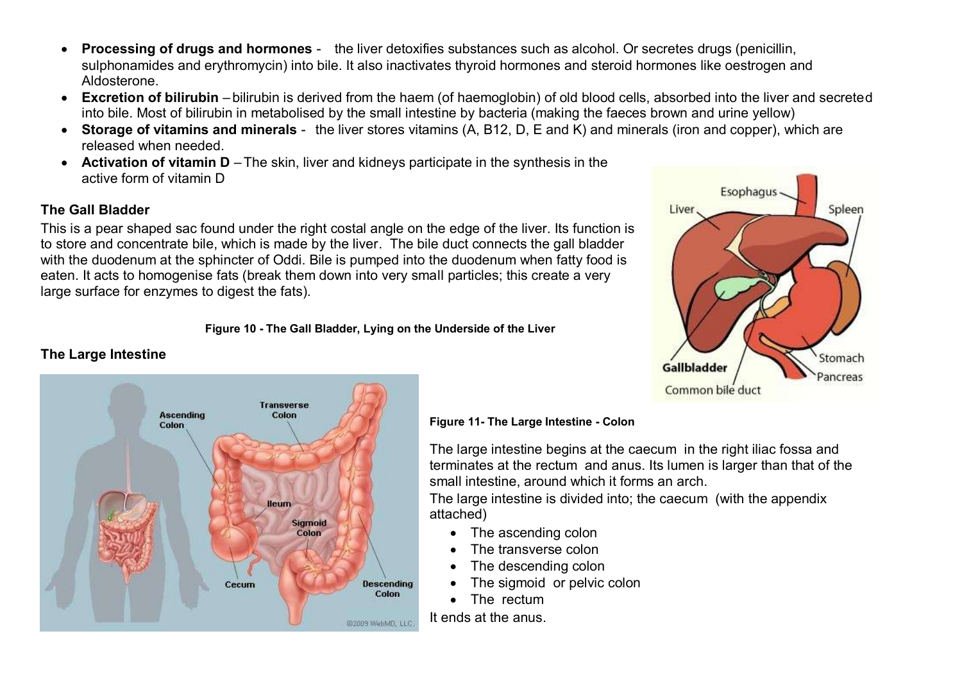- **Processing of drugs and hormones** the liver detoxifies substances such as alcohol. Or secretes drugs (penicillin, sulphonamides and erythromycin) into bile. It also inactivates thyroid hormones and steroid hormones like oestrogen and Aldosterone.
- **Excretion of bilirubin** bilirubin is derived from the haem (of haemoglobin) of old blood cells, absorbed into the liver and secreted into bile. Most of bilirubin in metabolised by the small intestine by bacteria (making the faeces brown and urine yellow)
- **Storage of vitamins and minerals** the liver stores vitamins (A, B12, D, E and K) and minerals (iron and copper), which are released when needed.
- **Activation of vitamin D** –The skin, liver and kidneys participate in the synthesis in the active form of vitamin D

### **The Gall Bladder**

This is a pear shaped sac found under the right costal angle on the edge of the liver. Its function is to store and concentrate bile, which is made by the liver. The bile duct connects the gall bladder with the duodenum at the sphincter of Oddi. Bile is pumped into the duodenum when fatty food is eaten. It acts to homogenise fats (break them down into very small particles; this create a very large surface for enzymes to digest the fats).

#### **Figure 10 - The Gall Bladder, Lying on the Underside of the Liver**

### **The Large Intestine**



#### **Figure 11- The Large Intestine - Colon**

The large intestine begins at the caecum in the right iliac fossa and terminates at the rectum and anus. Its lumen is larger than that of the small intestine, around which it forms an arch.

The large intestine is divided into; the caecum (with the appendix attached)

- The ascending colon
- The transverse colon
- The descending colon
- The sigmoid or pelvic colon
- The rectum

It ends at the anus.

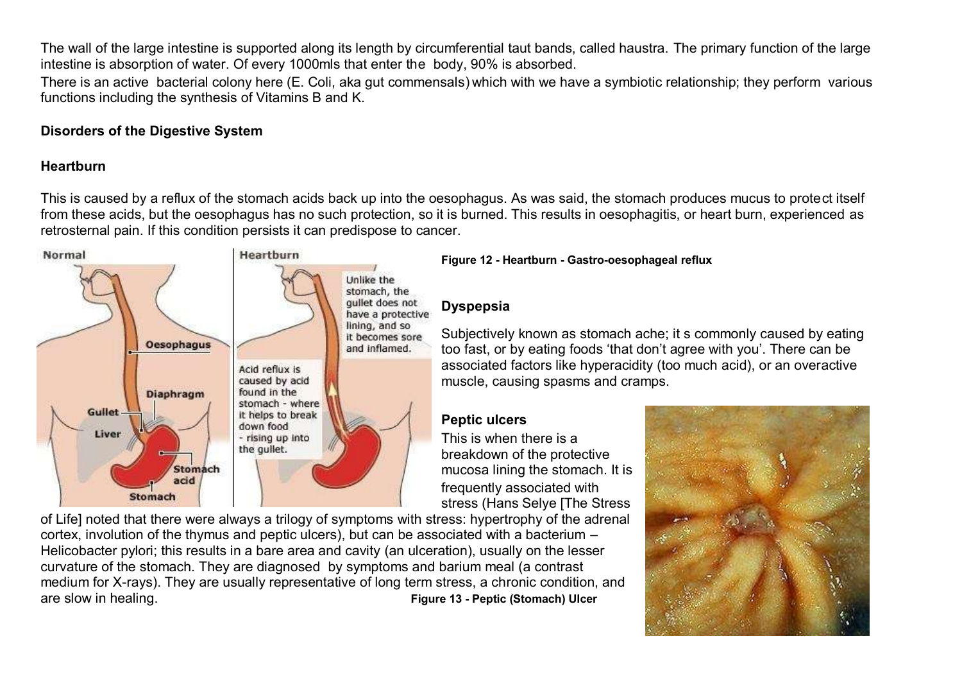The wall of the large intestine is supported along its length by circumferential taut bands, called haustra. The primary function of the large intestine is absorption of water. Of every 1000mls that enter the body, 90% is absorbed.

There is an active bacterial colony here (E. Coli, aka gut commensals) which with we have a symbiotic relationship; they perform various functions including the synthesis of Vitamins B and K.

### **Disorders of the Digestive System**

### **Heartburn**

This is caused by a reflux of the stomach acids back up into the oesophagus. As was said, the stomach produces mucus to protect itself from these acids, but the oesophagus has no such protection, so it is burned. This results in oesophagitis, or heart burn, experienced as retrosternal pain. If this condition persists it can predispose to cancer.



**Figure 12 - Heartburn - Gastro-oesophageal reflux**

### **Dyspepsia**

Subjectively known as stomach ache; it s commonly caused by eating too fast, or by eating foods 'that don't agree with you'. There can be associated factors like hyperacidity (too much acid), or an overactive muscle, causing spasms and cramps.

### **Peptic ulcers**

This is when there is a breakdown of the protective mucosa lining the stomach. It is frequently associated with stress (Hans Selye [The Stress

of Life] noted that there were always a trilogy of symptoms with stress: hypertrophy of the adrenal cortex, involution of the thymus and peptic ulcers), but can be associated with a bacterium – Helicobacter pylori; this results in a bare area and cavity (an ulceration), usually on the lesser curvature of the stomach. They are diagnosed by symptoms and barium meal (a contrast medium for X-rays). They are usually representative of long term stress, a chronic condition, and are slow in healing. **Figure 13 - Peptic (Stomach) Ulcer**

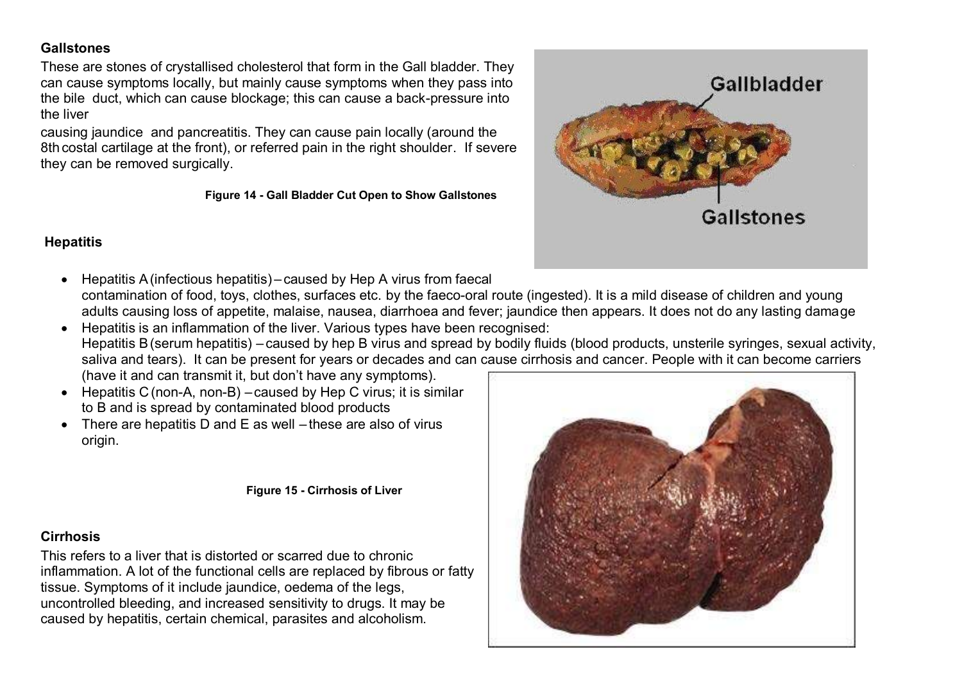### **Gallstones**

These are stones of crystallised cholesterol that form in the Gall bladder. They can cause symptoms locally, but mainly cause symptoms when they pass into the bile duct, which can cause blockage; this can cause a back-pressure into the liver

causing jaundice and pancreatitis. They can cause pain locally (around the 8th costal cartilage at the front), or referred pain in the right shoulder. If severe they can be removed surgically.

#### **Figure 14 - Gall Bladder Cut Open to Show Gallstones**



### **Hepatitis**

- Hepatitis A(infectious hepatitis) caused by Hep A virus from faecal contamination of food, toys, clothes, surfaces etc. by the faeco-oral route (ingested). It is a mild disease of children and young adults causing loss of appetite, malaise, nausea, diarrhoea and fever; jaundice then appears. It does not do any lasting damage
- Hepatitis is an inflammation of the liver. Various types have been recognised: Hepatitis B(serum hepatitis) – caused by hep B virus and spread by bodily fluids (blood products, unsterile syringes, sexual activity, saliva and tears). It can be present for years or decades and can cause cirrhosis and cancer. People with it can become carriers (have it and can transmit it, but don't have any symptoms).
- Hepatitis C(non-A, non-B) caused by Hep C virus; it is similar to B and is spread by contaminated blood products
- There are hepatitis D and E as well these are also of virus origin.

#### **Figure 15 - Cirrhosis of Liver**

### **Cirrhosis**

This refers to a liver that is distorted or scarred due to chronic inflammation. A lot of the functional cells are replaced by fibrous or fatty tissue. Symptoms of it include jaundice, oedema of the legs, uncontrolled bleeding, and increased sensitivity to drugs. It may be caused by hepatitis, certain chemical, parasites and alcoholism.

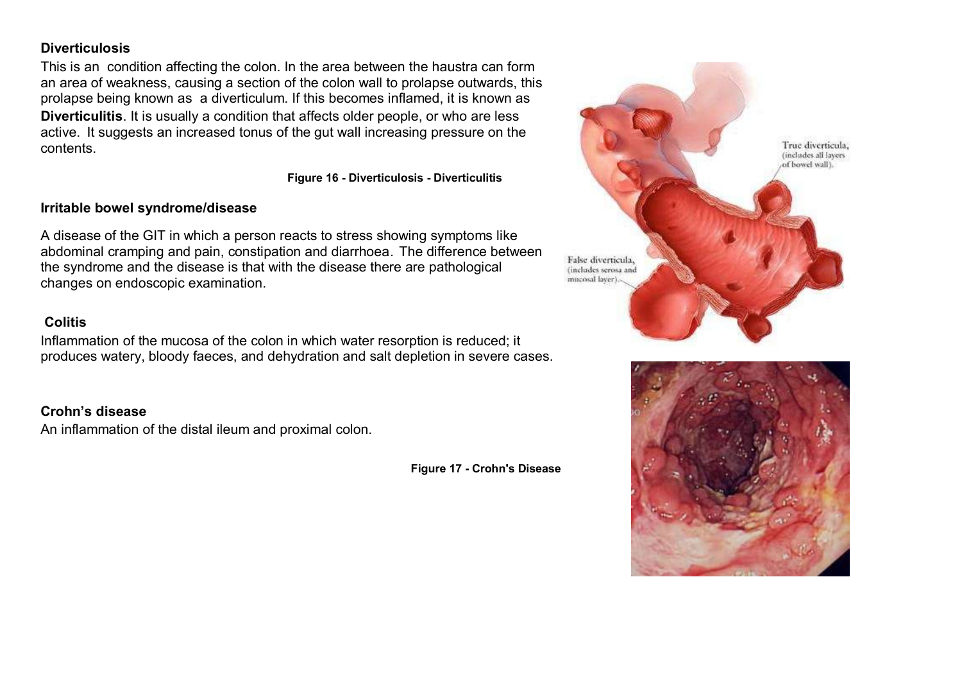#### **Diverticulosis**

This is an condition affecting the colon. In the area between the haustra can form an area of weakness, causing a section of the colon wall to prolapse outwards, this prolapse being known as a diverticulum. If this becomes inflamed, it is known as **Diverticulitis**. It is usually a condition that affects older people, or who are less active. It suggests an increased tonus of the gut wall increasing pressure on the contents.

**Figure 16 - Diverticulosis - Diverticulitis**

#### **Irritable bowel syndrome/disease**

A disease of the GIT in which a person reacts to stress showing symptoms like abdominal cramping and pain, constipation and diarrhoea. The difference between the syndrome and the disease is that with the disease there are pathological changes on endoscopic examination.

#### **Colitis**

Inflammation of the mucosa of the colon in which water resorption is reduced; it produces watery, bloody faeces, and dehydration and salt depletion in severe cases.

### **Crohn's disease**

An inflammation of the distal ileum and proximal colon.

**Figure 17 - Crohn's Disease**